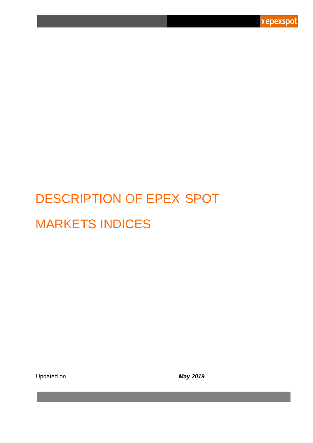

# DESCRIPTION OF EPEX SPOT MARKETS INDICES

Updated on *May 2019*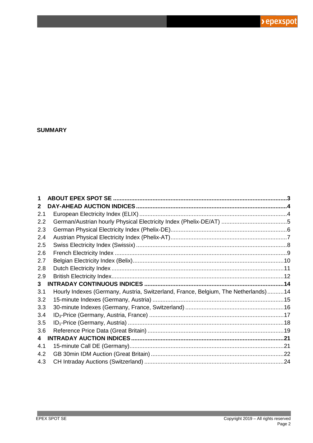> epexspot

#### **SUMMARY**

| 1   |                                                                                    |  |
|-----|------------------------------------------------------------------------------------|--|
| 2   |                                                                                    |  |
| 2.1 |                                                                                    |  |
| 2.2 |                                                                                    |  |
| 2.3 |                                                                                    |  |
| 2.4 |                                                                                    |  |
| 2.5 |                                                                                    |  |
| 2.6 |                                                                                    |  |
| 2.7 |                                                                                    |  |
| 2.8 |                                                                                    |  |
| 2.9 |                                                                                    |  |
| 3   |                                                                                    |  |
| 3.1 | Hourly Indexes (Germany, Austria, Switzerland, France, Belgium, The Netherlands)14 |  |
| 3.2 |                                                                                    |  |
| 3.3 |                                                                                    |  |
| 3.4 |                                                                                    |  |
| 3.5 |                                                                                    |  |
| 3.6 |                                                                                    |  |
| 4   |                                                                                    |  |
| 4.1 |                                                                                    |  |
| 4.2 |                                                                                    |  |
| 4.3 |                                                                                    |  |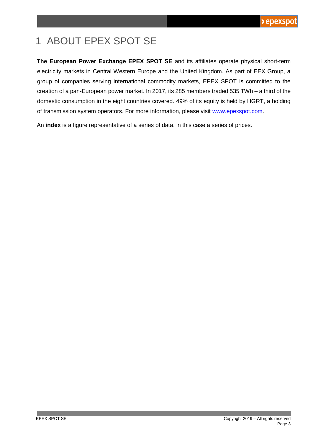## <span id="page-2-0"></span>1 ABOUT EPEX SPOT SE

**The European Power Exchange EPEX SPOT SE** and its affiliates operate physical short-term electricity markets in Central Western Europe and the United Kingdom. As part of EEX Group, a group of companies serving international commodity markets, EPEX SPOT is committed to the creation of a pan-European power market. In 2017, its 285 members traded 535 TWh – a third of the domestic consumption in the eight countries covered. 49% of its equity is held by HGRT, a holding of transmission system operators. For more information, please visit [www.epexspot.com.](http://www.epexspot.com/)

An **index** is a figure representative of a series of data, in this case a series of prices.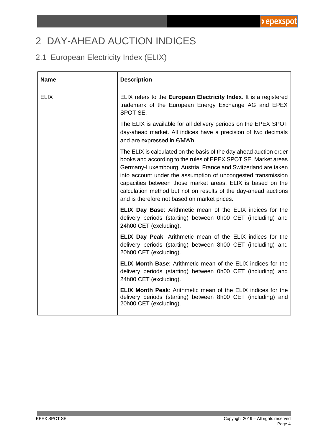### <span id="page-3-0"></span>2 DAY-AHEAD AUCTION INDICES

### <span id="page-3-1"></span>2.1 European Electricity Index (ELIX)

| <b>Name</b> | <b>Description</b>                                                                                                                                                                                                                                                                                                                                                                                                                                       |
|-------------|----------------------------------------------------------------------------------------------------------------------------------------------------------------------------------------------------------------------------------------------------------------------------------------------------------------------------------------------------------------------------------------------------------------------------------------------------------|
| <b>ELIX</b> | ELIX refers to the <b>European Electricity Index</b> . It is a registered<br>trademark of the European Energy Exchange AG and EPEX<br>SPOT SE.                                                                                                                                                                                                                                                                                                           |
|             | The ELIX is available for all delivery periods on the EPEX SPOT<br>day-ahead market. All indices have a precision of two decimals<br>and are expressed in €/MWh.                                                                                                                                                                                                                                                                                         |
|             | The ELIX is calculated on the basis of the day ahead auction order<br>books and according to the rules of EPEX SPOT SE. Market areas<br>Germany-Luxembourg, Austria, France and Switzerland are taken<br>into account under the assumption of uncongested transmission<br>capacities between those market areas. ELIX is based on the<br>calculation method but not on results of the day-ahead auctions<br>and is therefore not based on market prices. |
|             | <b>ELIX Day Base:</b> Arithmetic mean of the ELIX indices for the<br>delivery periods (starting) between 0h00 CET (including) and<br>24h00 CET (excluding).                                                                                                                                                                                                                                                                                              |
|             | <b>ELIX Day Peak:</b> Arithmetic mean of the ELIX indices for the<br>delivery periods (starting) between 8h00 CET (including) and<br>20h00 CET (excluding).                                                                                                                                                                                                                                                                                              |
|             | <b>ELIX Month Base:</b> Arithmetic mean of the ELIX indices for the<br>delivery periods (starting) between 0h00 CET (including) and<br>24h00 CET (excluding).                                                                                                                                                                                                                                                                                            |
|             | <b>ELIX Month Peak:</b> Arithmetic mean of the ELIX indices for the<br>delivery periods (starting) between 8h00 CET (including) and<br>20h00 CET (excluding).                                                                                                                                                                                                                                                                                            |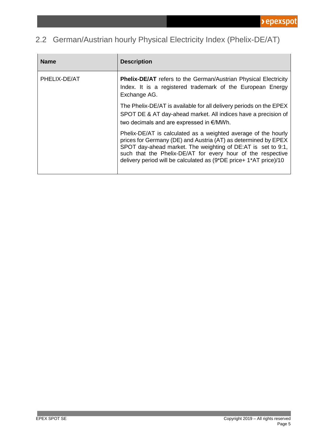### <span id="page-4-0"></span>2.2 German/Austrian hourly Physical Electricity Index (Phelix-DE/AT)

| <b>Name</b>  | <b>Description</b>                                                                                                                                                                                                                                                                                                                   |
|--------------|--------------------------------------------------------------------------------------------------------------------------------------------------------------------------------------------------------------------------------------------------------------------------------------------------------------------------------------|
| PHELIX-DE/AT | <b>Phelix-DE/AT</b> refers to the German/Austrian Physical Electricity<br>Index. It is a registered trademark of the European Energy<br>Exchange AG.                                                                                                                                                                                 |
|              | The Phelix-DE/AT is available for all delivery periods on the EPEX<br>SPOT DE & AT day-ahead market. All indices have a precision of<br>two decimals and are expressed in $\epsilon$ /MWh.                                                                                                                                           |
|              | Phelix-DE/AT is calculated as a weighted average of the hourly<br>prices for Germany (DE) and Austria (AT) as determined by EPEX<br>SPOT day-ahead market. The weighting of DE:AT is set to 9:1,<br>such that the Phelix-DE/AT for every hour of the respective<br>delivery period will be calculated as (9*DE price+ 1*AT price)/10 |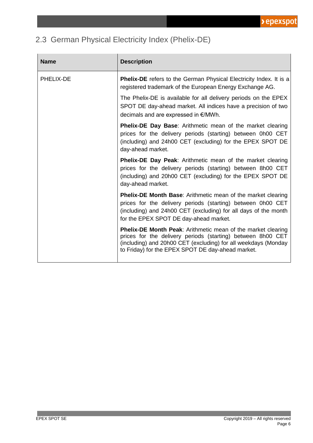### <span id="page-5-0"></span>2.3 German Physical Electricity Index (Phelix-DE)

| <b>Name</b> | <b>Description</b>                                                                                                                                                                                                                                        |
|-------------|-----------------------------------------------------------------------------------------------------------------------------------------------------------------------------------------------------------------------------------------------------------|
| PHELIX-DE   | <b>Phelix-DE</b> refers to the German Physical Electricity Index. It is a<br>registered trademark of the European Energy Exchange AG.                                                                                                                     |
|             | The Phelix-DE is available for all delivery periods on the EPEX<br>SPOT DE day-ahead market. All indices have a precision of two<br>decimals and are expressed in €/MWh.                                                                                  |
|             | <b>Phelix-DE Day Base:</b> Arithmetic mean of the market clearing<br>prices for the delivery periods (starting) between 0h00 CET<br>(including) and 24h00 CET (excluding) for the EPEX SPOT DE<br>day-ahead market.                                       |
|             | <b>Phelix-DE Day Peak:</b> Arithmetic mean of the market clearing<br>prices for the delivery periods (starting) between 8h00 CET<br>(including) and 20h00 CET (excluding) for the EPEX SPOT DE<br>day-ahead market.                                       |
|             | <b>Phelix-DE Month Base:</b> Arithmetic mean of the market clearing<br>prices for the delivery periods (starting) between 0h00 CET<br>(including) and 24h00 CET (excluding) for all days of the month<br>for the EPEX SPOT DE day-ahead market.           |
|             | <b>Phelix-DE Month Peak:</b> Arithmetic mean of the market clearing<br>prices for the delivery periods (starting) between 8h00 CET<br>(including) and 20h00 CET (excluding) for all weekdays (Monday<br>to Friday) for the EPEX SPOT DE day-ahead market. |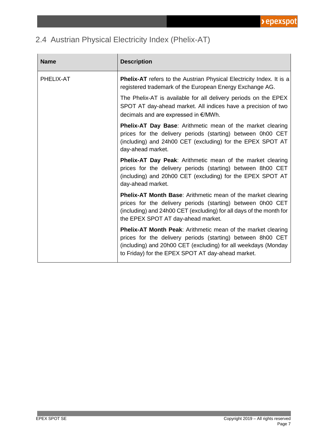### <span id="page-6-0"></span>2.4 Austrian Physical Electricity Index (Phelix-AT)

| <b>Name</b> | <b>Description</b>                                                                                                                                                                                                                                 |
|-------------|----------------------------------------------------------------------------------------------------------------------------------------------------------------------------------------------------------------------------------------------------|
| PHELIX-AT   | <b>Phelix-AT</b> refers to the Austrian Physical Electricity Index. It is a<br>registered trademark of the European Energy Exchange AG.                                                                                                            |
|             | The Phelix-AT is available for all delivery periods on the EPEX<br>SPOT AT day-ahead market. All indices have a precision of two<br>decimals and are expressed in €/MWh.                                                                           |
|             | <b>Phelix-AT Day Base:</b> Arithmetic mean of the market clearing<br>prices for the delivery periods (starting) between 0h00 CET<br>(including) and 24h00 CET (excluding) for the EPEX SPOT AT<br>day-ahead market.                                |
|             | <b>Phelix-AT Day Peak:</b> Arithmetic mean of the market clearing<br>prices for the delivery periods (starting) between 8h00 CET<br>(including) and 20h00 CET (excluding) for the EPEX SPOT AT<br>day-ahead market.                                |
|             | <b>Phelix-AT Month Base:</b> Arithmetic mean of the market clearing<br>prices for the delivery periods (starting) between 0h00 CET<br>(including) and 24h00 CET (excluding) for all days of the month for<br>the EPEX SPOT AT day-ahead market.    |
|             | Phelix-AT Month Peak: Arithmetic mean of the market clearing<br>prices for the delivery periods (starting) between 8h00 CET<br>(including) and 20h00 CET (excluding) for all weekdays (Monday<br>to Friday) for the EPEX SPOT AT day-ahead market. |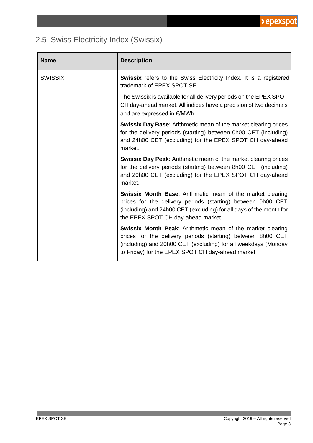### <span id="page-7-0"></span>2.5 Swiss Electricity Index (Swissix)

| <b>Name</b>    | <b>Description</b>                                                                                                                                                                                                                                      |
|----------------|---------------------------------------------------------------------------------------------------------------------------------------------------------------------------------------------------------------------------------------------------------|
| <b>SWISSIX</b> | <b>Swissix</b> refers to the Swiss Electricity Index. It is a registered<br>trademark of EPEX SPOT SE.                                                                                                                                                  |
|                | The Swissix is available for all delivery periods on the EPEX SPOT<br>CH day-ahead market. All indices have a precision of two decimals<br>and are expressed in €/MWh.                                                                                  |
|                | <b>Swissix Day Base:</b> Arithmetic mean of the market clearing prices<br>for the delivery periods (starting) between 0h00 CET (including)<br>and 24h00 CET (excluding) for the EPEX SPOT CH day-ahead<br>market.                                       |
|                | <b>Swissix Day Peak:</b> Arithmetic mean of the market clearing prices<br>for the delivery periods (starting) between 8h00 CET (including)<br>and 20h00 CET (excluding) for the EPEX SPOT CH day-ahead<br>market.                                       |
|                | <b>Swissix Month Base:</b> Arithmetic mean of the market clearing<br>prices for the delivery periods (starting) between 0h00 CET<br>(including) and 24h00 CET (excluding) for all days of the month for<br>the EPEX SPOT CH day-ahead market.           |
|                | <b>Swissix Month Peak:</b> Arithmetic mean of the market clearing<br>prices for the delivery periods (starting) between 8h00 CET<br>(including) and 20h00 CET (excluding) for all weekdays (Monday<br>to Friday) for the EPEX SPOT CH day-ahead market. |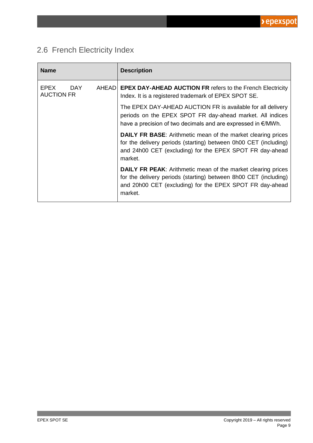

### <span id="page-8-0"></span>2.6 French Electricity Index

| <b>Name</b>                             | <b>Description</b>                                                                                                                                                                                             |
|-----------------------------------------|----------------------------------------------------------------------------------------------------------------------------------------------------------------------------------------------------------------|
| <b>EPEX</b><br>DAY<br><b>AUCTION FR</b> | AHEAD EPEX DAY-AHEAD AUCTION FR refers to the French Electricity<br>Index. It is a registered trademark of EPEX SPOT SE.                                                                                       |
|                                         | The EPEX DAY-AHEAD AUCTION FR is available for all delivery<br>periods on the EPEX SPOT FR day-ahead market. All indices<br>have a precision of two decimals and are expressed in $\epsilon$ /MWh.             |
|                                         | <b>DAILY FR BASE:</b> Arithmetic mean of the market clearing prices<br>for the delivery periods (starting) between 0h00 CET (including)<br>and 24h00 CET (excluding) for the EPEX SPOT FR day-ahead<br>market. |
|                                         | <b>DAILY FR PEAK:</b> Arithmetic mean of the market clearing prices<br>for the delivery periods (starting) between 8h00 CET (including)<br>and 20h00 CET (excluding) for the EPEX SPOT FR day-ahead<br>market. |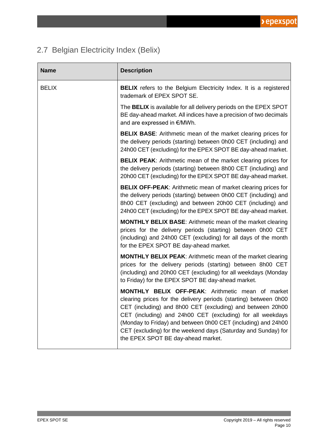#### <span id="page-9-0"></span>2.7 Belgian Electricity Index (Belix)

| <b>Name</b>  | <b>Description</b>                                                                                                                                                                                                                                                                                                                                                                                                                |
|--------------|-----------------------------------------------------------------------------------------------------------------------------------------------------------------------------------------------------------------------------------------------------------------------------------------------------------------------------------------------------------------------------------------------------------------------------------|
| <b>BELIX</b> | <b>BELIX</b> refers to the Belgium Electricity Index. It is a registered<br>trademark of EPEX SPOT SE.                                                                                                                                                                                                                                                                                                                            |
|              | The BELIX is available for all delivery periods on the EPEX SPOT<br>BE day-ahead market. All indices have a precision of two decimals<br>and are expressed in €/MWh.                                                                                                                                                                                                                                                              |
|              | <b>BELIX BASE:</b> Arithmetic mean of the market clearing prices for<br>the delivery periods (starting) between 0h00 CET (including) and<br>24h00 CET (excluding) for the EPEX SPOT BE day-ahead market.                                                                                                                                                                                                                          |
|              | <b>BELIX PEAK:</b> Arithmetic mean of the market clearing prices for<br>the delivery periods (starting) between 8h00 CET (including) and<br>20h00 CET (excluding) for the EPEX SPOT BE day-ahead market.                                                                                                                                                                                                                          |
|              | <b>BELIX OFF-PEAK:</b> Arithmetic mean of market clearing prices for<br>the delivery periods (starting) between 0h00 CET (including) and<br>8h00 CET (excluding) and between 20h00 CET (including) and<br>24h00 CET (excluding) for the EPEX SPOT BE day-ahead market.                                                                                                                                                            |
|              | MONTHLY BELIX BASE: Arithmetic mean of the market clearing<br>prices for the delivery periods (starting) between 0h00 CET<br>(including) and 24h00 CET (excluding) for all days of the month<br>for the EPEX SPOT BE day-ahead market.                                                                                                                                                                                            |
|              | MONTHLY BELIX PEAK: Arithmetic mean of the market clearing<br>prices for the delivery periods (starting) between 8h00 CET<br>(including) and 20h00 CET (excluding) for all weekdays (Monday<br>to Friday) for the EPEX SPOT BE day-ahead market.                                                                                                                                                                                  |
|              | <b>MONTHLY BELIX OFF-PEAK: Arithmetic mean of market</b><br>clearing prices for the delivery periods (starting) between 0h00<br>CET (including) and 8h00 CET (excluding) and between 20h00<br>CET (including) and 24h00 CET (excluding) for all weekdays<br>(Monday to Friday) and between 0h00 CET (including) and 24h00<br>CET (excluding) for the weekend days (Saturday and Sunday) for<br>the EPEX SPOT BE day-ahead market. |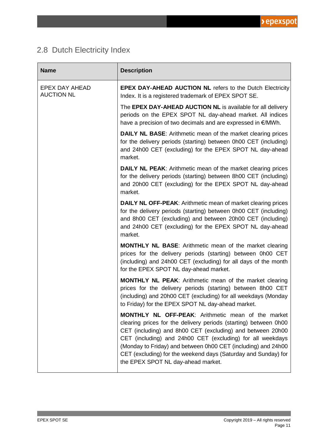

### <span id="page-10-0"></span>2.8 Dutch Electricity Index

| <b>Name</b>                         | <b>Description</b>                                                                                                                                                                                                                                                                                                                                                                                                                 |
|-------------------------------------|------------------------------------------------------------------------------------------------------------------------------------------------------------------------------------------------------------------------------------------------------------------------------------------------------------------------------------------------------------------------------------------------------------------------------------|
| EPEX DAY AHEAD<br><b>AUCTION NL</b> | EPEX DAY-AHEAD AUCTION NL refers to the Dutch Electricity<br>Index. It is a registered trademark of EPEX SPOT SE.                                                                                                                                                                                                                                                                                                                  |
|                                     | The EPEX DAY-AHEAD AUCTION NL is available for all delivery<br>periods on the EPEX SPOT NL day-ahead market. All indices<br>have a precision of two decimals and are expressed in €/MWh.                                                                                                                                                                                                                                           |
|                                     | <b>DAILY NL BASE:</b> Arithmetic mean of the market clearing prices<br>for the delivery periods (starting) between 0h00 CET (including)<br>and 24h00 CET (excluding) for the EPEX SPOT NL day-ahead<br>market.                                                                                                                                                                                                                     |
|                                     | <b>DAILY NL PEAK:</b> Arithmetic mean of the market clearing prices<br>for the delivery periods (starting) between 8h00 CET (including)<br>and 20h00 CET (excluding) for the EPEX SPOT NL day-ahead<br>market.                                                                                                                                                                                                                     |
|                                     | <b>DAILY NL OFF-PEAK:</b> Arithmetic mean of market clearing prices<br>for the delivery periods (starting) between 0h00 CET (including)<br>and 8h00 CET (excluding) and between 20h00 CET (including)<br>and 24h00 CET (excluding) for the EPEX SPOT NL day-ahead<br>market.                                                                                                                                                       |
|                                     | MONTHLY NL BASE: Arithmetic mean of the market clearing<br>prices for the delivery periods (starting) between 0h00 CET<br>(including) and 24h00 CET (excluding) for all days of the month<br>for the EPEX SPOT NL day-ahead market.                                                                                                                                                                                                |
|                                     | <b>MONTHLY NL PEAK:</b> Arithmetic mean of the market clearing<br>prices for the delivery periods (starting) between 8h00 CET<br>(including) and 20h00 CET (excluding) for all weekdays (Monday<br>to Friday) for the EPEX SPOT NL day-ahead market.                                                                                                                                                                               |
|                                     | <b>MONTHLY NL OFF-PEAK: Arithmetic mean of the market</b><br>clearing prices for the delivery periods (starting) between 0h00<br>CET (including) and 8h00 CET (excluding) and between 20h00<br>CET (including) and 24h00 CET (excluding) for all weekdays<br>(Monday to Friday) and between 0h00 CET (including) and 24h00<br>CET (excluding) for the weekend days (Saturday and Sunday) for<br>the EPEX SPOT NL day-ahead market. |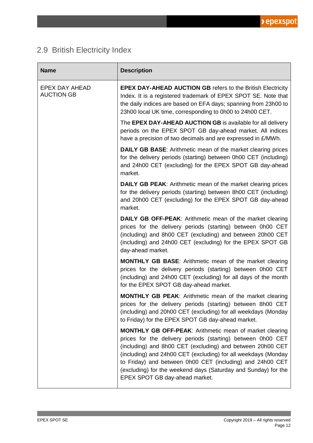

### <span id="page-11-0"></span>2.9 British Electricity Index

| <b>Name</b>                         | <b>Description</b>                                                                                                                                                                                                                                                                                                                                                                                                             |
|-------------------------------------|--------------------------------------------------------------------------------------------------------------------------------------------------------------------------------------------------------------------------------------------------------------------------------------------------------------------------------------------------------------------------------------------------------------------------------|
| EPEX DAY AHEAD<br><b>AUCTION GB</b> | <b>EPEX DAY-AHEAD AUCTION GB refers to the British Electricity</b><br>Index. It is a registered trademark of EPEX SPOT SE. Note that<br>the daily indices are based on EFA days; spanning from 23h00 to<br>23h00 local UK time, corresponding to 0h00 to 24h00 CET.                                                                                                                                                            |
|                                     | The EPEX DAY-AHEAD AUCTION GB is available for all delivery<br>periods on the EPEX SPOT GB day-ahead market. All indices<br>have a precision of two decimals and are expressed in £/MWh.                                                                                                                                                                                                                                       |
|                                     | <b>DAILY GB BASE:</b> Arithmetic mean of the market clearing prices<br>for the delivery periods (starting) between 0h00 CET (including)<br>and 24h00 CET (excluding) for the EPEX SPOT GB day-ahead<br>market.                                                                                                                                                                                                                 |
|                                     | <b>DAILY GB PEAK:</b> Arithmetic mean of the market clearing prices<br>for the delivery periods (starting) between 8h00 CET (including)<br>and 20h00 CET (excluding) for the EPEX SPOT GB day-ahead<br>market.                                                                                                                                                                                                                 |
|                                     | <b>DAILY GB OFF-PEAK:</b> Arithmetic mean of the market clearing<br>prices for the delivery periods (starting) between 0h00 CET<br>(including) and 8h00 CET (excluding) and between 20h00 CET<br>(including) and 24h00 CET (excluding) for the EPEX SPOT GB<br>day-ahead market.                                                                                                                                               |
|                                     | <b>MONTHLY GB BASE:</b> Arithmetic mean of the market clearing<br>prices for the delivery periods (starting) between 0h00 CET<br>(including) and 24h00 CET (excluding) for all days of the month<br>for the EPEX SPOT GB day-ahead market.                                                                                                                                                                                     |
|                                     | <b>MONTHLY GB PEAK:</b> Arithmetic mean of the market clearing<br>prices for the delivery periods (starting) between 8h00 CET<br>(including) and 20h00 CET (excluding) for all weekdays (Monday<br>to Friday) for the EPEX SPOT GB day-ahead market.                                                                                                                                                                           |
|                                     | <b>MONTHLY GB OFF-PEAK: Arithmetic mean of market clearing</b><br>prices for the delivery periods (starting) between 0h00 CET<br>(including) and 8h00 CET (excluding) and between 20h00 CET<br>(including) and 24h00 CET (excluding) for all weekdays (Monday<br>to Friday) and between 0h00 CET (including) and 24h00 CET<br>(excluding) for the weekend days (Saturday and Sunday) for the<br>EPEX SPOT GB day-ahead market. |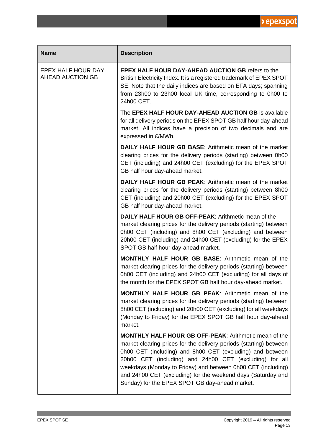

| <b>Name</b>                            | <b>Description</b>                                                                                                                                                                                                                                                                                                                                                                                                                           |
|----------------------------------------|----------------------------------------------------------------------------------------------------------------------------------------------------------------------------------------------------------------------------------------------------------------------------------------------------------------------------------------------------------------------------------------------------------------------------------------------|
| EPEX HALF HOUR DAY<br>AHEAD AUCTION GB | <b>EPEX HALF HOUR DAY-AHEAD AUCTION GB refers to the</b><br>British Electricity Index. It is a registered trademark of EPEX SPOT<br>SE. Note that the daily indices are based on EFA days; spanning<br>from 23h00 to 23h00 local UK time, corresponding to 0h00 to<br>24h00 CET.                                                                                                                                                             |
|                                        | The EPEX HALF HOUR DAY-AHEAD AUCTION GB is available<br>for all delivery periods on the EPEX SPOT GB half hour day-ahead<br>market. All indices have a precision of two decimals and are<br>expressed in £/MWh.                                                                                                                                                                                                                              |
|                                        | <b>DAILY HALF HOUR GB BASE:</b> Arithmetic mean of the market<br>clearing prices for the delivery periods (starting) between 0h00<br>CET (including) and 24h00 CET (excluding) for the EPEX SPOT<br>GB half hour day-ahead market.                                                                                                                                                                                                           |
|                                        | <b>DAILY HALF HOUR GB PEAK: Arithmetic mean of the market</b><br>clearing prices for the delivery periods (starting) between 8h00<br>CET (including) and 20h00 CET (excluding) for the EPEX SPOT<br>GB half hour day-ahead market.                                                                                                                                                                                                           |
|                                        | DAILY HALF HOUR GB OFF-PEAK: Arithmetic mean of the<br>market clearing prices for the delivery periods (starting) between<br>0h00 CET (including) and 8h00 CET (excluding) and between<br>20h00 CET (including) and 24h00 CET (excluding) for the EPEX<br>SPOT GB half hour day-ahead market.                                                                                                                                                |
|                                        | <b>MONTHLY HALF HOUR GB BASE:</b> Arithmetic mean of the<br>market clearing prices for the delivery periods (starting) between<br>0h00 CET (including) and 24h00 CET (excluding) for all days of<br>the month for the EPEX SPOT GB half hour day-ahead market.                                                                                                                                                                               |
|                                        | <b>MONTHLY HALF HOUR GB PEAK: Arithmetic mean of the</b><br>market clearing prices for the delivery periods (starting) between<br>8h00 CET (including) and 20h00 CET (excluding) for all weekdays<br>(Monday to Friday) for the EPEX SPOT GB half hour day-ahead<br>market.                                                                                                                                                                  |
|                                        | <b>MONTHLY HALF HOUR GB OFF-PEAK: Arithmetic mean of the</b><br>market clearing prices for the delivery periods (starting) between<br>0h00 CET (including) and 8h00 CET (excluding) and between<br>20h00 CET (including) and 24h00 CET (excluding) for all<br>weekdays (Monday to Friday) and between 0h00 CET (including)<br>and 24h00 CET (excluding) for the weekend days (Saturday and<br>Sunday) for the EPEX SPOT GB day-ahead market. |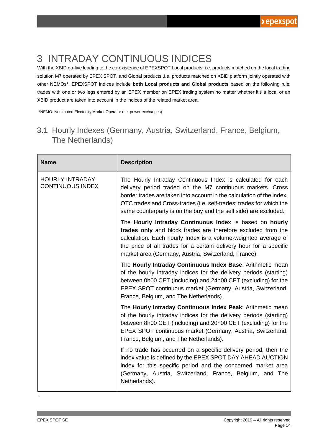### <span id="page-13-0"></span>3 INTRADAY CONTINUOUS INDICES

With the XBID go-live leading to the co-existence of EPEXSPOT Local products, i.e. products matched on the local trading solution M7 operated by EPEX SPOT, and Global products ,i.e. products matched on XBID platform jointly operated with other NEMOs\*, EPEXSPOT indices include **both Local products and Global products** based on the following rule: trades with one or two legs entered by an EPEX member on EPEX trading system no matter whether it's a local or an XBID product are taken into account in the indices of the related market area.

\*NEMO: Nominated Electricity Market Operator (i.e. power exchanges)

#### <span id="page-13-1"></span>3.1 Hourly Indexes (Germany, Austria, Switzerland, France, Belgium, The Netherlands)

| <b>Name</b>                                       | <b>Description</b>                                                                                                                                                                                                                                                                                                                            |
|---------------------------------------------------|-----------------------------------------------------------------------------------------------------------------------------------------------------------------------------------------------------------------------------------------------------------------------------------------------------------------------------------------------|
| <b>HOURLY INTRADAY</b><br><b>CONTINUOUS INDEX</b> | The Hourly Intraday Continuous Index is calculated for each<br>delivery period traded on the M7 continuous markets. Cross<br>border trades are taken into account in the calculation of the index.<br>OTC trades and Cross-trades (i.e. self-trades; trades for which the<br>same counterparty is on the buy and the sell side) are excluded. |
|                                                   | The Hourly Intraday Continuous Index is based on hourly<br>trades only and block trades are therefore excluded from the<br>calculation. Each hourly Index is a volume-weighted average of<br>the price of all trades for a certain delivery hour for a specific<br>market area (Germany, Austria, Switzerland, France).                       |
|                                                   | The Hourly Intraday Continuous Index Base: Arithmetic mean<br>of the hourly intraday indices for the delivery periods (starting)<br>between 0h00 CET (including) and 24h00 CET (excluding) for the<br>EPEX SPOT continuous market (Germany, Austria, Switzerland,<br>France, Belgium, and The Netherlands).                                   |
|                                                   | The Hourly Intraday Continuous Index Peak: Arithmetic mean<br>of the hourly intraday indices for the delivery periods (starting)<br>between 8h00 CET (including) and 20h00 CET (excluding) for the<br>EPEX SPOT continuous market (Germany, Austria, Switzerland,<br>France, Belgium, and The Netherlands).                                   |
|                                                   | If no trade has occurred on a specific delivery period, then the<br>index value is defined by the EPEX SPOT DAY AHEAD AUCTION<br>index for this specific period and the concerned market area<br>(Germany, Austria, Switzerland, France, Belgium, and The<br>Netherlands).                                                                    |

.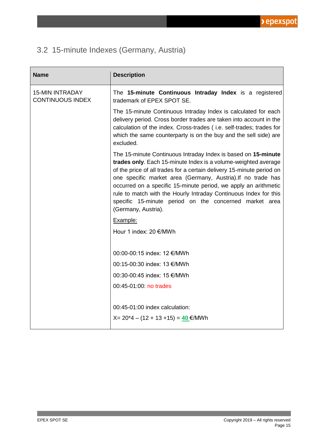### <span id="page-14-0"></span>3.2 15-minute Indexes (Germany, Austria)

| <b>Name</b>                                       | <b>Description</b>                                                                                                                                                                                                                                                                                                                                                                                                                                                                               |
|---------------------------------------------------|--------------------------------------------------------------------------------------------------------------------------------------------------------------------------------------------------------------------------------------------------------------------------------------------------------------------------------------------------------------------------------------------------------------------------------------------------------------------------------------------------|
| <b>15-MIN INTRADAY</b><br><b>CONTINUOUS INDEX</b> | The 15-minute Continuous Intraday Index is a registered<br>trademark of EPEX SPOT SE.                                                                                                                                                                                                                                                                                                                                                                                                            |
|                                                   | The 15-minute Continuous Intraday Index is calculated for each<br>delivery period. Cross border trades are taken into account in the<br>calculation of the index. Cross-trades (i.e. self-trades; trades for<br>which the same counterparty is on the buy and the sell side) are<br>excluded.                                                                                                                                                                                                    |
|                                                   | The 15-minute Continuous Intraday Index is based on 15-minute<br>trades only. Each 15-minute Index is a volume-weighted average<br>of the price of all trades for a certain delivery 15-minute period on<br>one specific market area (Germany, Austria). If no trade has<br>occurred on a specific 15-minute period, we apply an arithmetic<br>rule to match with the Hourly Intraday Continuous Index for this<br>specific 15-minute period on the concerned market area<br>(Germany, Austria). |
|                                                   | Example:                                                                                                                                                                                                                                                                                                                                                                                                                                                                                         |
|                                                   | Hour 1 index: 20 €/MWh                                                                                                                                                                                                                                                                                                                                                                                                                                                                           |
|                                                   | 00:00-00:15 index: 12 €/MWh                                                                                                                                                                                                                                                                                                                                                                                                                                                                      |
|                                                   | 00:15-00:30 index: 13 €/MWh                                                                                                                                                                                                                                                                                                                                                                                                                                                                      |
|                                                   | 00:30-00:45 index: 15 €/MWh                                                                                                                                                                                                                                                                                                                                                                                                                                                                      |
|                                                   | 00:45-01:00: no trades                                                                                                                                                                                                                                                                                                                                                                                                                                                                           |
|                                                   | 00:45-01:00 index calculation:<br>$X = 20*4 - (12 + 13 + 15) = 40$ €/MWh                                                                                                                                                                                                                                                                                                                                                                                                                         |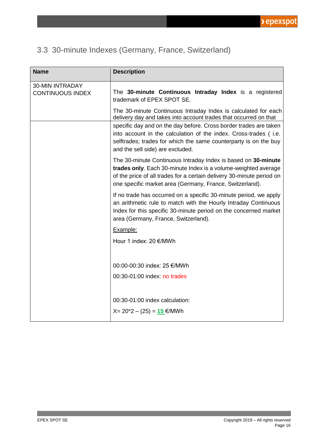### <span id="page-15-0"></span>3.3 30-minute Indexes (Germany, France, Switzerland)

| <b>Name</b>                                       | <b>Description</b>                                                                                                                                                                                                                                                                                                                                                                  |
|---------------------------------------------------|-------------------------------------------------------------------------------------------------------------------------------------------------------------------------------------------------------------------------------------------------------------------------------------------------------------------------------------------------------------------------------------|
| <b>30-MIN INTRADAY</b><br><b>CONTINUOUS INDEX</b> | The 30-minute Continuous Intraday Index is a registered<br>trademark of EPEX SPOT SE.                                                                                                                                                                                                                                                                                               |
|                                                   | The 30-minute Continuous Intraday Index is calculated for each<br>delivery day and takes into account trades that occurred on that<br>specific day and on the day before. Cross border trades are taken<br>into account in the calculation of the index. Cross-trades (i.e.<br>selftrades; trades for which the same counterparty is on the buy<br>and the sell side) are excluded. |
|                                                   | The 30-minute Continuous Intraday Index is based on 30-minute<br>trades only. Each 30-minute Index is a volume-weighted average<br>of the price of all trades for a certain delivery 30-minute period on<br>one specific market area (Germany, France, Switzerland).                                                                                                                |
|                                                   | If no trade has occurred on a specific 30-minute period, we apply<br>an arithmetic rule to match with the Hourly Intraday Continuous<br>Index for this specific 30-minute period on the concerned market<br>area (Germany, France, Switzerland).                                                                                                                                    |
|                                                   | Example:                                                                                                                                                                                                                                                                                                                                                                            |
|                                                   | Hour 1 index: 20 €/MWh                                                                                                                                                                                                                                                                                                                                                              |
|                                                   | 00:00-00:30 index: 25 €/MWh                                                                                                                                                                                                                                                                                                                                                         |
|                                                   | 00:30-01:00 index: no trades                                                                                                                                                                                                                                                                                                                                                        |
|                                                   | 00:30-01:00 index calculation:<br>$X = 20*2 - (25) = 15$ €/MWh                                                                                                                                                                                                                                                                                                                      |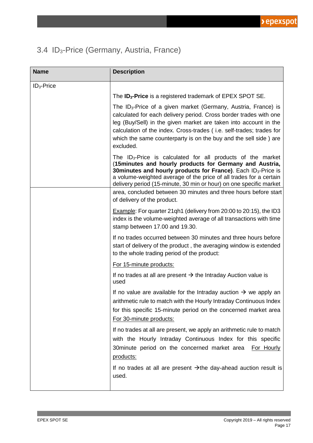### <span id="page-16-0"></span>3.4 ID3-Price (Germany, Austria, France)

| <b>Name</b>   | <b>Description</b>                                                                                                                                                                                                                                                                                                                                                                                                                                     |
|---------------|--------------------------------------------------------------------------------------------------------------------------------------------------------------------------------------------------------------------------------------------------------------------------------------------------------------------------------------------------------------------------------------------------------------------------------------------------------|
| $ID_3$ -Price |                                                                                                                                                                                                                                                                                                                                                                                                                                                        |
|               | The <b>ID<sub>3</sub>-Price</b> is a registered trademark of EPEX SPOT SE.                                                                                                                                                                                                                                                                                                                                                                             |
|               | The $ID_3$ -Price of a given market (Germany, Austria, France) is<br>calculated for each delivery period. Cross border trades with one<br>leg (Buy/Sell) in the given market are taken into account in the<br>calculation of the index. Cross-trades (i.e. self-trades; trades for<br>which the same counterparty is on the buy and the sell side) are<br>excluded.                                                                                    |
|               | The $ID_3$ -Price is calculated for all products of the market<br>(15 minutes and hourly products for Germany and Austria,<br>30 minutes and hourly products for France). Each ID <sub>3</sub> -Price is<br>a volume-weighted average of the price of all trades for a certain<br>delivery period (15-minute, 30 min or hour) on one specific market<br>area, concluded between 30 minutes and three hours before start<br>of delivery of the product. |
|               | Example: For quarter 21qh1 (delivery from 20:00 to 20:15), the ID3<br>index is the volume-weighted average of all transactions with time<br>stamp between 17.00 and 19.30.                                                                                                                                                                                                                                                                             |
|               | If no trades occurred between 30 minutes and three hours before<br>start of delivery of the product, the averaging window is extended<br>to the whole trading period of the product:                                                                                                                                                                                                                                                                   |
|               | For 15-minute products:                                                                                                                                                                                                                                                                                                                                                                                                                                |
|               | If no trades at all are present $\rightarrow$ the Intraday Auction value is<br>used                                                                                                                                                                                                                                                                                                                                                                    |
|               | If no value are available for the Intraday auction $\rightarrow$ we apply an<br>arithmetic rule to match with the Hourly Intraday Continuous Index<br>for this specific 15-minute period on the concerned market area<br>For 30-minute products:                                                                                                                                                                                                       |
|               | If no trades at all are present, we apply an arithmetic rule to match<br>with the Hourly Intraday Continuous Index for this specific<br>30 minute period on the concerned market area<br>For Hourly<br>products:                                                                                                                                                                                                                                       |
|               | If no trades at all are present $\rightarrow$ the day-ahead auction result is<br>used.                                                                                                                                                                                                                                                                                                                                                                 |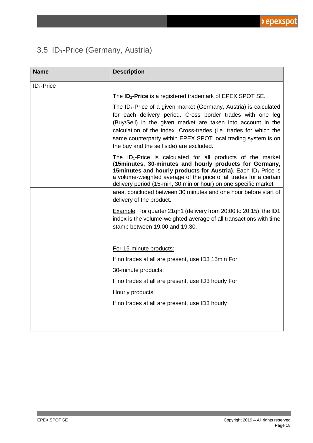### <span id="page-17-0"></span>3.5 ID<sub>1</sub>-Price (Germany, Austria)

| <b>Name</b>   | <b>Description</b>                                                                                                                                                                                                                                                                                                                                                                   |
|---------------|--------------------------------------------------------------------------------------------------------------------------------------------------------------------------------------------------------------------------------------------------------------------------------------------------------------------------------------------------------------------------------------|
| $ID_1$ -Price |                                                                                                                                                                                                                                                                                                                                                                                      |
|               | The <b>ID<sub>1</sub>-Price</b> is a registered trademark of EPEX SPOT SE.                                                                                                                                                                                                                                                                                                           |
|               | The $ID_1$ -Price of a given market (Germany, Austria) is calculated<br>for each delivery period. Cross border trades with one leg<br>(Buy/Sell) in the given market are taken into account in the<br>calculation of the index. Cross-trades (i.e. trades for which the<br>same counterparty within EPEX SPOT local trading system is on<br>the buy and the sell side) are excluded. |
|               | The $ID_1$ -Price is calculated for all products of the market<br>(15 minutes, 30-minutes and hourly products for Germany,<br>15 minutes and hourly products for Austria). Each ID <sub>1</sub> -Price is<br>a volume-weighted average of the price of all trades for a certain<br>delivery period (15-min, 30 min or hour) on one specific market                                   |
|               | area, concluded between 30 minutes and one hour before start of<br>delivery of the product.                                                                                                                                                                                                                                                                                          |
|               | Example: For quarter 21qh1 (delivery from 20:00 to 20:15), the ID1<br>index is the volume-weighted average of all transactions with time<br>stamp between 19.00 and 19.30.                                                                                                                                                                                                           |
|               | For 15-minute products:                                                                                                                                                                                                                                                                                                                                                              |
|               | If no trades at all are present, use ID3 15min For                                                                                                                                                                                                                                                                                                                                   |
|               | 30-minute products:                                                                                                                                                                                                                                                                                                                                                                  |
|               | If no trades at all are present, use ID3 hourly For                                                                                                                                                                                                                                                                                                                                  |
|               | Hourly products:                                                                                                                                                                                                                                                                                                                                                                     |
|               | If no trades at all are present, use ID3 hourly                                                                                                                                                                                                                                                                                                                                      |
|               |                                                                                                                                                                                                                                                                                                                                                                                      |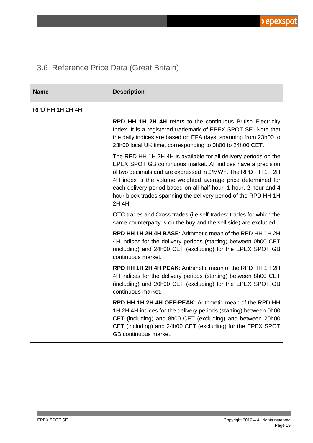### <span id="page-18-0"></span>3.6 Reference Price Data (Great Britain)

| <b>Name</b>     | <b>Description</b>                                                                                                                                                                                                                                                                                                                                                                                                 |
|-----------------|--------------------------------------------------------------------------------------------------------------------------------------------------------------------------------------------------------------------------------------------------------------------------------------------------------------------------------------------------------------------------------------------------------------------|
| RPD HH 1H 2H 4H |                                                                                                                                                                                                                                                                                                                                                                                                                    |
|                 | <b>RPD HH 1H 2H 4H refers to the continuous British Electricity</b><br>Index. It is a registered trademark of EPEX SPOT SE. Note that<br>the daily indices are based on EFA days; spanning from 23h00 to<br>23h00 local UK time, corresponding to 0h00 to 24h00 CET.                                                                                                                                               |
|                 | The RPD HH 1H 2H 4H is available for all delivery periods on the<br>EPEX SPOT GB continuous market. All indices have a precision<br>of two decimals and are expressed in £/MWh. The RPD HH 1H 2H<br>4H index is the volume weighted average price determined for<br>each delivery period based on all half hour, 1 hour, 2 hour and 4<br>hour block trades spanning the delivery period of the RPD HH 1H<br>2H 4H. |
|                 | OTC trades and Cross trades (i.e.self-trades: trades for which the<br>same counterparty is on the buy and the sell side) are excluded.                                                                                                                                                                                                                                                                             |
|                 | <b>RPD HH 1H 2H 4H BASE:</b> Arithmetic mean of the RPD HH 1H 2H<br>4H indices for the delivery periods (starting) between 0h00 CET<br>(including) and 24h00 CET (excluding) for the EPEX SPOT GB<br>continuous market.                                                                                                                                                                                            |
|                 | <b>RPD HH 1H 2H 4H PEAK: Arithmetic mean of the RPD HH 1H 2H</b><br>4H indices for the delivery periods (starting) between 8h00 CET<br>(including) and 20h00 CET (excluding) for the EPEX SPOT GB<br>continuous market.                                                                                                                                                                                            |
|                 | RPD HH 1H 2H 4H OFF-PEAK: Arithmetic mean of the RPD HH<br>1H 2H 4H indices for the delivery periods (starting) between 0h00<br>CET (including) and 8h00 CET (excluding) and between 20h00<br>CET (including) and 24h00 CET (excluding) for the EPEX SPOT<br>GB continuous market.                                                                                                                                 |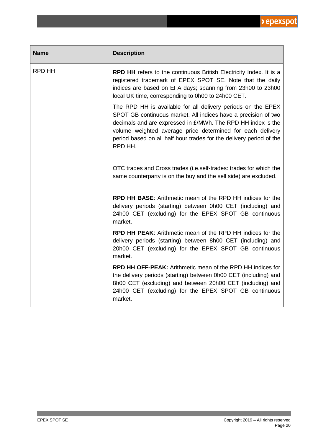| <b>Name</b> | <b>Description</b>                                                                                                                                                                                                                                                                                                                             |
|-------------|------------------------------------------------------------------------------------------------------------------------------------------------------------------------------------------------------------------------------------------------------------------------------------------------------------------------------------------------|
| RPD HH      | <b>RPD HH</b> refers to the continuous British Electricity Index. It is a<br>registered trademark of EPEX SPOT SE. Note that the daily<br>indices are based on EFA days; spanning from 23h00 to 23h00<br>local UK time, corresponding to 0h00 to 24h00 CET.                                                                                    |
|             | The RPD HH is available for all delivery periods on the EPEX<br>SPOT GB continuous market. All indices have a precision of two<br>decimals and are expressed in £/MWh. The RPD HH index is the<br>volume weighted average price determined for each delivery<br>period based on all half hour trades for the delivery period of the<br>RPD HH. |
|             | OTC trades and Cross trades (i.e.self-trades: trades for which the<br>same counterparty is on the buy and the sell side) are excluded.                                                                                                                                                                                                         |
|             | <b>RPD HH BASE:</b> Arithmetic mean of the RPD HH indices for the<br>delivery periods (starting) between 0h00 CET (including) and<br>24h00 CET (excluding) for the EPEX SPOT GB continuous<br>market.                                                                                                                                          |
|             | <b>RPD HH PEAK:</b> Arithmetic mean of the RPD HH indices for the<br>delivery periods (starting) between 8h00 CET (including) and<br>20h00 CET (excluding) for the EPEX SPOT GB continuous<br>market.                                                                                                                                          |
|             | <b>RPD HH OFF-PEAK:</b> Arithmetic mean of the RPD HH indices for<br>the delivery periods (starting) between 0h00 CET (including) and<br>8h00 CET (excluding) and between 20h00 CET (including) and<br>24h00 CET (excluding) for the EPEX SPOT GB continuous<br>market.                                                                        |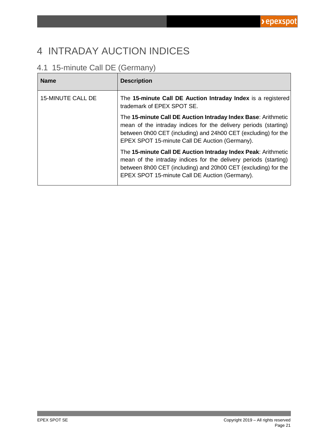### <span id="page-20-0"></span>4 INTRADAY AUCTION INDICES

### <span id="page-20-1"></span>4.1 15-minute Call DE (Germany)

| <b>Name</b>              | <b>Description</b>                                                                                                                                                                                                                                    |
|--------------------------|-------------------------------------------------------------------------------------------------------------------------------------------------------------------------------------------------------------------------------------------------------|
| <b>15-MINUTE CALL DE</b> | The 15-minute Call DE Auction Intraday Index is a registered<br>trademark of EPEX SPOT SE.                                                                                                                                                            |
|                          | The 15-minute Call DE Auction Intraday Index Base: Arithmetic<br>mean of the intraday indices for the delivery periods (starting)<br>between 0h00 CET (including) and 24h00 CET (excluding) for the<br>EPEX SPOT 15-minute Call DE Auction (Germany). |
|                          | The 15-minute Call DE Auction Intraday Index Peak: Arithmetic<br>mean of the intraday indices for the delivery periods (starting)<br>between 8h00 CET (including) and 20h00 CET (excluding) for the<br>EPEX SPOT 15-minute Call DE Auction (Germany). |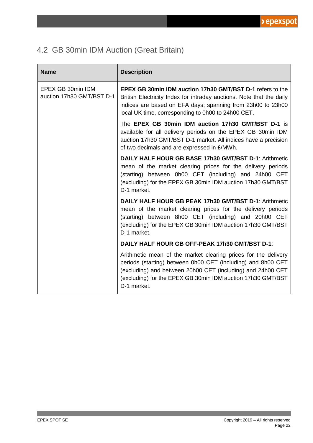### <span id="page-21-0"></span>4.2 GB 30min IDM Auction (Great Britain)

| <b>Name</b>                                    | <b>Description</b>                                                                                                                                                                                                                                                          |
|------------------------------------------------|-----------------------------------------------------------------------------------------------------------------------------------------------------------------------------------------------------------------------------------------------------------------------------|
| EPEX GB 30min IDM<br>auction 17h30 GMT/BST D-1 | <b>EPEX GB 30min IDM auction 17h30 GMT/BST D-1 refers to the</b><br>British Electricity Index for intraday auctions. Note that the daily<br>indices are based on EFA days; spanning from 23h00 to 23h00<br>local UK time, corresponding to 0h00 to 24h00 CET.               |
|                                                | The EPEX GB 30min IDM auction 17h30 GMT/BST D-1 is<br>available for all delivery periods on the EPEX GB 30min IDM<br>auction 17h30 GMT/BST D-1 market. All indices have a precision<br>of two decimals and are expressed in £/MWh.                                          |
|                                                | DAILY HALF HOUR GB BASE 17h30 GMT/BST D-1: Arithmetic<br>mean of the market clearing prices for the delivery periods<br>(starting) between 0h00 CET (including) and 24h00 CET<br>(excluding) for the EPEX GB 30min IDM auction 17h30 GMT/BST<br>D-1 market.                 |
|                                                | DAILY HALF HOUR GB PEAK 17h30 GMT/BST D-1: Arithmetic<br>mean of the market clearing prices for the delivery periods<br>(starting) between 8h00 CET (including) and 20h00 CET<br>(excluding) for the EPEX GB 30min IDM auction 17h30 GMT/BST<br>D-1 market.                 |
|                                                | <b>DAILY HALF HOUR GB OFF-PEAK 17h30 GMT/BST D-1:</b>                                                                                                                                                                                                                       |
|                                                | Arithmetic mean of the market clearing prices for the delivery<br>periods (starting) between 0h00 CET (including) and 8h00 CET<br>(excluding) and between 20h00 CET (including) and 24h00 CET<br>(excluding) for the EPEX GB 30min IDM auction 17h30 GMT/BST<br>D-1 market. |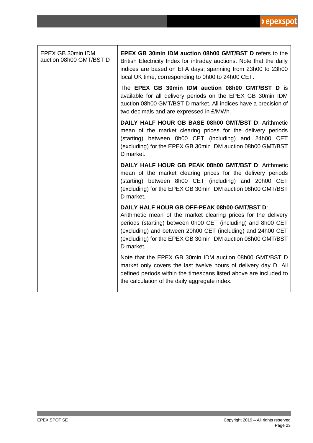| EPEX GB 30min IDM<br>auction 08h00 GMT/BST D | <b>EPEX GB 30min IDM auction 08h00 GMT/BST D refers to the</b><br>British Electricity Index for intraday auctions. Note that the daily<br>indices are based on EFA days; spanning from 23h00 to 23h00<br>local UK time, corresponding to 0h00 to 24h00 CET.                                                               |
|----------------------------------------------|---------------------------------------------------------------------------------------------------------------------------------------------------------------------------------------------------------------------------------------------------------------------------------------------------------------------------|
|                                              | The EPEX GB 30min IDM auction 08h00 GMT/BST D is<br>available for all delivery periods on the EPEX GB 30min IDM<br>auction 08h00 GMT/BST D market. All indices have a precision of<br>two decimals and are expressed in £/MWh.                                                                                            |
|                                              | DAILY HALF HOUR GB BASE 08h00 GMT/BST D: Arithmetic<br>mean of the market clearing prices for the delivery periods<br>(starting) between 0h00 CET (including) and 24h00 CET<br>(excluding) for the EPEX GB 30min IDM auction 08h00 GMT/BST<br>D market.                                                                   |
|                                              | DAILY HALF HOUR GB PEAK 08h00 GMT/BST D: Arithmetic<br>mean of the market clearing prices for the delivery periods<br>(starting) between 8h00 CET (including) and 20h00 CET<br>(excluding) for the EPEX GB 30min IDM auction 08h00 GMT/BST<br>D market.                                                                   |
|                                              | DAILY HALF HOUR GB OFF-PEAK 08h00 GMT/BST D:<br>Arithmetic mean of the market clearing prices for the delivery<br>periods (starting) between 0h00 CET (including) and 8h00 CET<br>(excluding) and between 20h00 CET (including) and 24h00 CET<br>(excluding) for the EPEX GB 30min IDM auction 08h00 GMT/BST<br>D market. |
|                                              | Note that the EPEX GB 30min IDM auction 08h00 GMT/BST D<br>market only covers the last twelve hours of delivery day D. All<br>defined periods within the timespans listed above are included to<br>the calculation of the daily aggregate index.                                                                          |